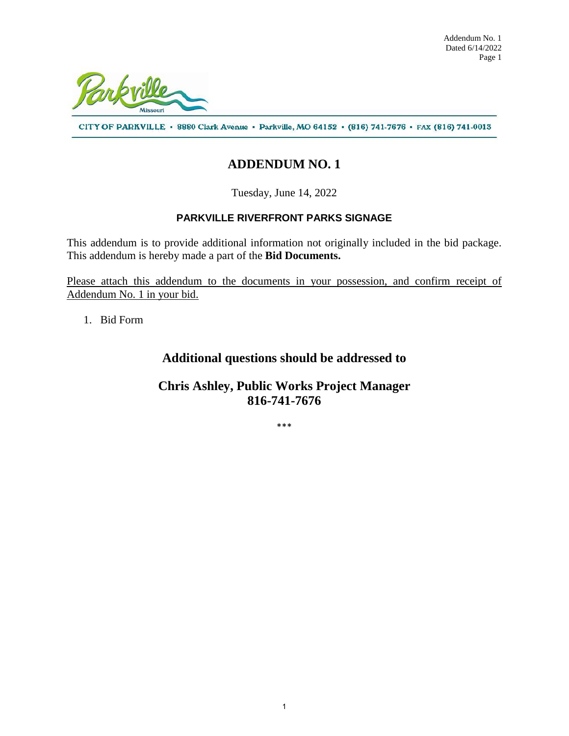

CITY OF PARKVILLE · 8880 Clark Avenue · Parkville, MO 64152 · (816) 741-7676 · FAX (816) 741-0013

# **ADDENDUM NO. 1**

Tuesday, June 14, 2022

### **PARKVILLE RIVERFRONT PARKS SIGNAGE**

This addendum is to provide additional information not originally included in the bid package. This addendum is hereby made a part of the **Bid Documents.** 

Please attach this addendum to the documents in your possession, and confirm receipt of Addendum No. 1 in your bid.

1. Bid Form

## **Additional questions should be addressed to**

## **Chris Ashley, Public Works Project Manager 816-741-7676**

\*\*\*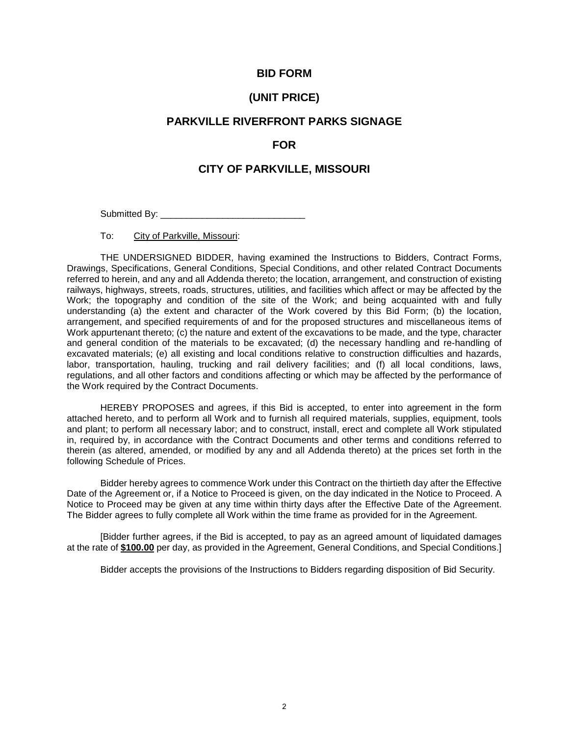#### **BID FORM**

#### **(UNIT PRICE)**

### **PARKVILLE RIVERFRONT PARKS SIGNAGE**

#### **FOR**

#### **CITY OF PARKVILLE, MISSOURI**

Submitted By: \_\_\_\_\_\_\_\_\_\_\_\_\_\_\_\_\_\_\_\_\_\_\_\_\_\_\_\_

To: City of Parkville, Missouri:

THE UNDERSIGNED BIDDER, having examined the Instructions to Bidders, Contract Forms, Drawings, Specifications, General Conditions, Special Conditions, and other related Contract Documents referred to herein, and any and all Addenda thereto; the location, arrangement, and construction of existing railways, highways, streets, roads, structures, utilities, and facilities which affect or may be affected by the Work; the topography and condition of the site of the Work; and being acquainted with and fully understanding (a) the extent and character of the Work covered by this Bid Form; (b) the location, arrangement, and specified requirements of and for the proposed structures and miscellaneous items of Work appurtenant thereto; (c) the nature and extent of the excavations to be made, and the type, character and general condition of the materials to be excavated; (d) the necessary handling and re-handling of excavated materials; (e) all existing and local conditions relative to construction difficulties and hazards, labor, transportation, hauling, trucking and rail delivery facilities; and (f) all local conditions, laws, regulations, and all other factors and conditions affecting or which may be affected by the performance of the Work required by the Contract Documents.

HEREBY PROPOSES and agrees, if this Bid is accepted, to enter into agreement in the form attached hereto, and to perform all Work and to furnish all required materials, supplies, equipment, tools and plant; to perform all necessary labor; and to construct, install, erect and complete all Work stipulated in, required by, in accordance with the Contract Documents and other terms and conditions referred to therein (as altered, amended, or modified by any and all Addenda thereto) at the prices set forth in the following Schedule of Prices.

Bidder hereby agrees to commence Work under this Contract on the thirtieth day after the Effective Date of the Agreement or, if a Notice to Proceed is given, on the day indicated in the Notice to Proceed. A Notice to Proceed may be given at any time within thirty days after the Effective Date of the Agreement. The Bidder agrees to fully complete all Work within the time frame as provided for in the Agreement.

[Bidder further agrees, if the Bid is accepted, to pay as an agreed amount of liquidated damages at the rate of **\$100.00** per day, as provided in the Agreement, General Conditions, and Special Conditions.]

Bidder accepts the provisions of the Instructions to Bidders regarding disposition of Bid Security.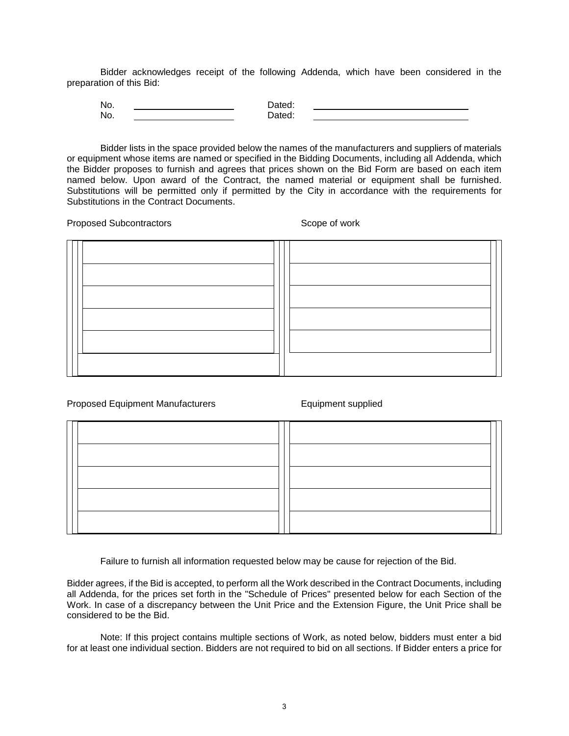Bidder acknowledges receipt of the following Addenda, which have been considered in the preparation of this Bid:

| No. | alcu. |  |
|-----|-------|--|
| No. |       |  |

Bidder lists in the space provided below the names of the manufacturers and suppliers of materials or equipment whose items are named or specified in the Bidding Documents, including all Addenda, which the Bidder proposes to furnish and agrees that prices shown on the Bid Form are based on each item named below. Upon award of the Contract, the named material or equipment shall be furnished. Substitutions will be permitted only if permitted by the City in accordance with the requirements for Substitutions in the Contract Documents.

Proposed Subcontractors Scope of work

Proposed Equipment Manufacturers **Equipment supplied** 

Failure to furnish all information requested below may be cause for rejection of the Bid.

Bidder agrees, if the Bid is accepted, to perform all the Work described in the Contract Documents, including all Addenda, for the prices set forth in the "Schedule of Prices" presented below for each Section of the Work. In case of a discrepancy between the Unit Price and the Extension Figure, the Unit Price shall be considered to be the Bid.

Note: If this project contains multiple sections of Work, as noted below, bidders must enter a bid for at least one individual section. Bidders are not required to bid on all sections. If Bidder enters a price for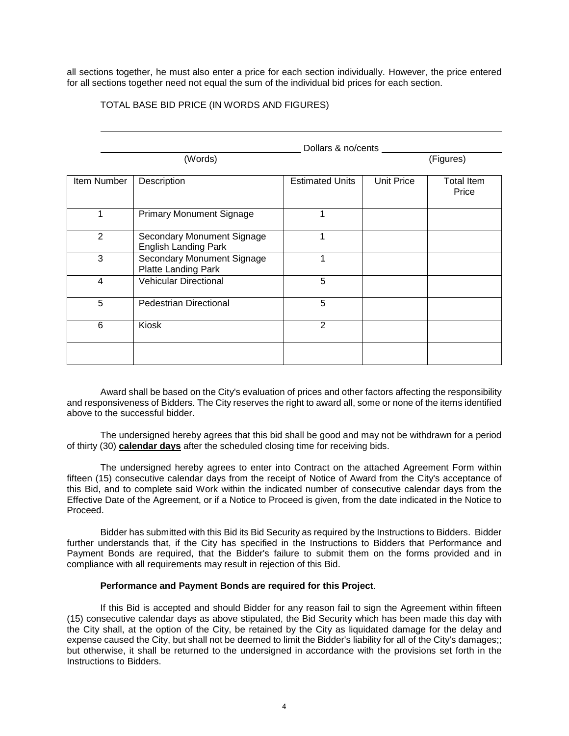all sections together, he must also enter a price for each section individually. However, the price entered for all sections together need not equal the sum of the individual bid prices for each section.

#### TOTAL BASE BID PRICE (IN WORDS AND FIGURES)

|                | Dollars & no/cents                                        |                        |            |                            |  |  |
|----------------|-----------------------------------------------------------|------------------------|------------|----------------------------|--|--|
|                | (Words)                                                   |                        |            | (Figures)                  |  |  |
| Item Number    | Description                                               | <b>Estimated Units</b> | Unit Price | <b>Total Item</b><br>Price |  |  |
| 1              | <b>Primary Monument Signage</b>                           | 1                      |            |                            |  |  |
| 2              | Secondary Monument Signage<br><b>English Landing Park</b> | 1                      |            |                            |  |  |
| 3              | Secondary Monument Signage<br>Platte Landing Park         |                        |            |                            |  |  |
| $\overline{4}$ | <b>Vehicular Directional</b>                              | 5                      |            |                            |  |  |
| 5              | <b>Pedestrian Directional</b>                             | 5                      |            |                            |  |  |
| 6              | Kiosk                                                     | $\overline{2}$         |            |                            |  |  |
|                |                                                           |                        |            |                            |  |  |

Award shall be based on the City's evaluation of prices and other factors affecting the responsibility and responsiveness of Bidders. The City reserves the right to award all, some or none of the items identified above to the successful bidder.

The undersigned hereby agrees that this bid shall be good and may not be withdrawn for a period of thirty (30) **calendar days** after the scheduled closing time for receiving bids.

The undersigned hereby agrees to enter into Contract on the attached Agreement Form within fifteen (15) consecutive calendar days from the receipt of Notice of Award from the City's acceptance of this Bid, and to complete said Work within the indicated number of consecutive calendar days from the Effective Date of the Agreement, or if a Notice to Proceed is given, from the date indicated in the Notice to Proceed.

Bidder has submitted with this Bid its Bid Security as required by the Instructions to Bidders. Bidder further understands that, if the City has specified in the Instructions to Bidders that Performance and Payment Bonds are required, that the Bidder's failure to submit them on the forms provided and in compliance with all requirements may result in rejection of this Bid.

#### **Performance and Payment Bonds are required for this Project**.

If this Bid is accepted and should Bidder for any reason fail to sign the Agreement within fifteen (15) consecutive calendar days as above stipulated, the Bid Security which has been made this day with the City shall, at the option of the City, be retained by the City as liquidated damage for the delay and expense caused the City, but shall not be deemed to limit the Bidder's liability for all of the City's damages;; but otherwise, it shall be returned to the undersigned in accordance with the provisions set forth in the Instructions to Bidders.